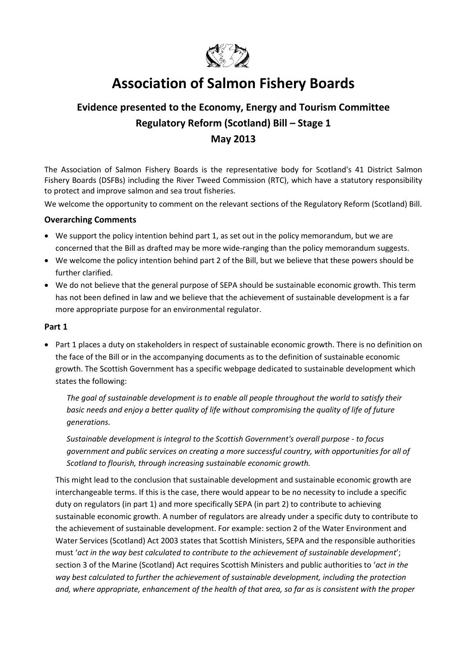

# **Association of Salmon Fishery Boards**

# **Evidence presented to the Economy, Energy and Tourism Committee Regulatory Reform (Scotland) Bill – Stage 1 May 2013**

The Association of Salmon Fishery Boards is the representative body for Scotland's 41 District Salmon Fishery Boards (DSFBs) including the River Tweed Commission (RTC), which have a statutory responsibility to protect and improve salmon and sea trout fisheries.

We welcome the opportunity to comment on the relevant sections of the Regulatory Reform (Scotland) Bill.

# **Overarching Comments**

- We support the policy intention behind part 1, as set out in the policy memorandum, but we are concerned that the Bill as drafted may be more wide-ranging than the policy memorandum suggests.
- We welcome the policy intention behind part 2 of the Bill, but we believe that these powers should be further clarified.
- We do not believe that the general purpose of SEPA should be sustainable economic growth. This term has not been defined in law and we believe that the achievement of sustainable development is a far more appropriate purpose for an environmental regulator.

#### **Part 1**

• Part 1 places a duty on stakeholders in respect of sustainable economic growth. There is no definition on the face of the Bill or in the accompanying documents as to the definition of sustainable economic growth. The Scottish Government has a specific webpage dedicated to sustainable development which states the following:

*The goal of sustainable development is to enable all people throughout the world to satisfy their basic needs and enjoy a better quality of life without compromising the quality of life of future generations.*

*Sustainable development is integral to the Scottish Government's overall purpose - to focus government and public services on creating a more successful country, with opportunities for all of Scotland to flourish, through increasing sustainable economic growth.*

This might lead to the conclusion that sustainable development and sustainable economic growth are interchangeable terms. If this is the case, there would appear to be no necessity to include a specific duty on regulators (in part 1) and more specifically SEPA (in part 2) to contribute to achieving sustainable economic growth. A number of regulators are already under a specific duty to contribute to the achievement of sustainable development. For example: section 2 of the Water Environment and Water Services (Scotland) Act 2003 states that Scottish Ministers, SEPA and the responsible authorities must '*act in the way best calculated to contribute to the achievement of sustainable development*'; section 3 of the Marine (Scotland) Act requires Scottish Ministers and public authorities to '*act in the way best calculated to further the achievement of sustainable development, including the protection and, where appropriate, enhancement of the health of that area, so far as is consistent with the proper*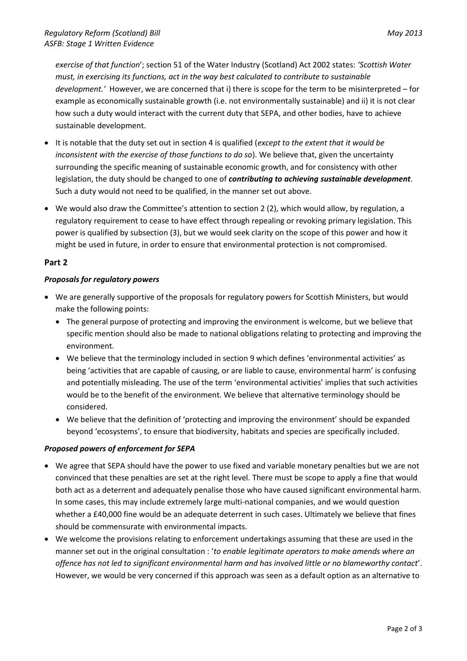*exercise of that function*'; section 51 of the Water Industry (Scotland) Act 2002 states: *'Scottish Water must, in exercising its functions, act in the way best calculated to contribute to sustainable development.'* However, we are concerned that i) there is scope for the term to be misinterpreted – for example as economically sustainable growth (i.e. not environmentally sustainable) and ii) it is not clear how such a duty would interact with the current duty that SEPA, and other bodies, have to achieve sustainable development.

- It is notable that the duty set out in section 4 is qualified (*except to the extent that it would be inconsistent with the exercise of those functions to do so*). We believe that, given the uncertainty surrounding the specific meaning of sustainable economic growth, and for consistency with other legislation, the duty should be changed to one of *contributing to achieving sustainable development*. Such a duty would not need to be qualified, in the manner set out above.
- We would also draw the Committee's attention to section 2 (2), which would allow, by regulation, a regulatory requirement to cease to have effect through repealing or revoking primary legislation. This power is qualified by subsection (3), but we would seek clarity on the scope of this power and how it might be used in future, in order to ensure that environmental protection is not compromised.

#### **Part 2**

#### *Proposals for regulatory powers*

- We are generally supportive of the proposals for regulatory powers for Scottish Ministers, but would make the following points:
	- The general purpose of protecting and improving the environment is welcome, but we believe that specific mention should also be made to national obligations relating to protecting and improving the environment.
	- We believe that the terminology included in section 9 which defines 'environmental activities' as being 'activities that are capable of causing, or are liable to cause, environmental harm' is confusing and potentially misleading. The use of the term 'environmental activities' implies that such activities would be to the benefit of the environment. We believe that alternative terminology should be considered.
	- We believe that the definition of 'protecting and improving the environment' should be expanded beyond 'ecosystems', to ensure that biodiversity, habitats and species are specifically included.

# *Proposed powers of enforcement for SEPA*

- We agree that SEPA should have the power to use fixed and variable monetary penalties but we are not convinced that these penalties are set at the right level. There must be scope to apply a fine that would both act as a deterrent and adequately penalise those who have caused significant environmental harm. In some cases, this may include extremely large multi-national companies, and we would question whether a £40,000 fine would be an adequate deterrent in such cases. Ultimately we believe that fines should be commensurate with environmental impacts.
- We welcome the provisions relating to enforcement undertakings assuming that these are used in the manner set out in the original consultation : '*to enable legitimate operators to make amends where an offence has not led to significant environmental harm and has involved little or no blameworthy contact*'. However, we would be very concerned if this approach was seen as a default option as an alternative to